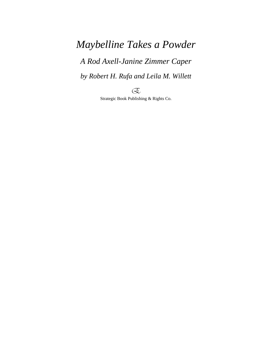# *Maybelline Takes a Powder A Rod Axell-Janine Zimmer Caper by Robert H. Rufa and Leila M. Willett*

*E* 

Strategic Book Publishing & Rights Co.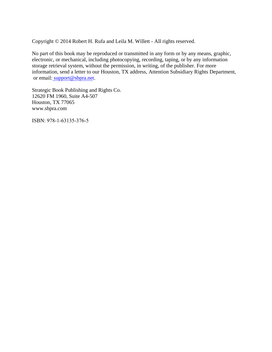Copyright © 2014 Robert H. Rufa and Leila M. Willett - All rights reserved.

No part of this book may be reproduced or transmitted in any form or by any means, graphic, electronic, or mechanical, including photocopying, recording, taping, or by any information storage retrieval system, without the permission, in writing, of the publisher. For more information, send a letter to our Houston, TX address, Attention Subsidiary Rights Department, or email: support@sbpra.net.

Strategic Book Publishing and Rights Co. 12620 FM 1960, Suite A4-507 Houston, TX 77065 www.sbpra.com

ISBN: 978-1-63135-376-5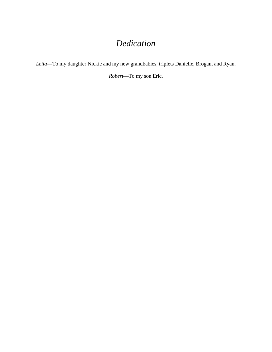# *Dedication*

*Leila*—To my daughter Nickie and my new grandbabies, triplets Danielle, Brogan, and Ryan.

*Robert*—To my son Eric.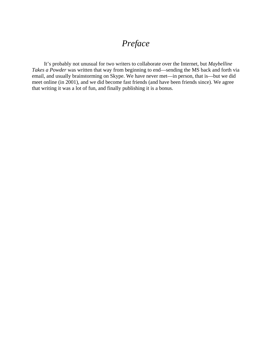## *Preface*

 It's probably not unusual for two writers to collaborate over the Internet, but *Maybelline Takes a Powder* was written that way from beginning to end—sending the MS back and forth via email, and usually brainstorming on Skype. We have never met—in person, that is—but we did meet online (in 2001), and we did become fast friends (and have been friends since). We agree that writing it was a lot of fun, and finally publishing it is a bonus.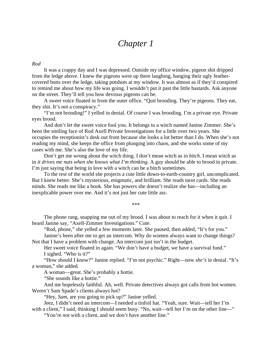## *Chapter 1*

### *Rod*

 It was a crappy day and I was depressed. Outside my office window, pigeon shit dripped from the ledge above. I knew the pigeons were up there laughing, hanging their ugly feathercovered butts over the ledge, taking potshots at my window. It was almost as if they'd conspired to remind me about how my life was going. I wouldn't put it past the little bastards. Ask anyone on the street. They'll tell you how devious pigeons can be.

 A sweet voice floated in from the outer office. "Quit brooding. They're pigeons. They eat, they shit. It's not a conspiracy."

 "I'm not brooding!" I yelled in denial. Of course I was brooding. I'm a private eye. Private eyes brood.

 And don't let the sweet voice fool you. It belongs to a witch named Janine Zimmer. She's been the smiling face of Rod Axell Private Investigations for a little over two years. She occupies the receptionist's desk out front because she looks a lot better than I do. When she's not reading my mind, she keeps the office from plunging into chaos, and she works some of my cases with me. She's also the love of my life.

 Don't get me wrong about the witch thing. I don't mean witch as in *bitch*. I mean witch as in *it drives me nuts when she knows what I'm thinking*. A guy should be able to brood in private. I'm just saying that being in love with a witch can be a bitch sometimes.

 To the rest of the world she projects a cute little down-to-earth-country girl, uncomplicated. But I knew better. She's mysterious, enigmatic, and brilliant. She reads tarot cards. She reads minds. She reads me like a book. She has powers she doesn't realize she has—including an inexplicable power over me. And it's not just her cute little ass.

\*\*\*

 The phone rang, snapping me out of my brood. I was about to reach for it when it quit. I heard Janine say, "Axell-Zimmer Investigations." Cute.

"Rod, phone," she yelled a few moments later. She paused, then added, "It's for you."

 Janine's been after me to get an intercom. Why do women always want to change things? Not that I have a problem with change. An intercom just isn't in the budget.

Her sweet voice floated in again. "We don't have a budget, we have a survival fund." I sighed. "Who is it?"

 "How should I know?" Janine replied. "I'm not psychic." Right—now *she's* in denial. "It's a woman," she added.

A woman—great. She's probably a hottie.

"She sounds like a hottie."

 And me hopelessly faithful. Ah, well. Private detectives always got calls from hot women. Weren't Sam Spade's clients always hot?

"Hey, *Sam*, are you going to pick up?" Janine yelled.

 Jeez, I didn't need an intercom—I needed a tinfoil hat. "Yeah, sure. Wait—tell her I'm with a client," I said, thinking I should seem busy. "No, wait—tell her I'm on the other line—"

"You're *not* with a client, and we don't have another line."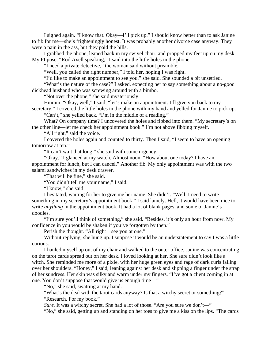I sighed again. "I know that. Okay—I'll pick up." I should know better than to ask Janine to fib for me—she's frighteningly honest. It was probably another divorce case anyway. They were a pain in the ass, but they paid the bills.

 I grabbed the phone, leaned back in my swivel chair, and propped my feet up on my desk. My PI pose. "Rod Axell speaking," I said into the little holes in the phone.

"I need a private detective," the woman said without preamble.

"Well, you called the right number," I told her, hoping I was right.

"I'd like to make an appointment to see you," she said. She sounded a bit unsettled.

 "What's the nature of the case?" I asked, expecting her to say something about a no-good dickhead husband who was screwing around with a bimbo.

"Not over the phone," she said mysteriously.

 Hmmm. "Okay, well," I said, "let's make an appointment. I'll give you back to my secretary." I covered the little holes in the phone with my hand and yelled for Janine to pick up.

"Can't," she yelled back. "I'm in the middle of a reading."

 What? On company time? I uncovered the holes and fibbed into them. "My secretary's on the other line—let me check her appointment book." I'm not above fibbing myself.

"All right," said the voice.

 I covered the holes again and counted to thirty. Then I said, "I seem to have an opening tomorrow at ten."

"It can't wait that long," she said with some urgency.

 "Okay." I glanced at my watch. Almost noon. "How about one today? I have an appointment for lunch, but I can cancel." Another fib. My only appointment was with the two salami sandwiches in my desk drawer.

"That will be fine," she said.

"You didn't tell me your name," I said.

"I know," she said.

 I hesitated, waiting for her to give me her name. She didn't. "Well, I need to write something in my secretary's appointment book," I said lamely. Hell, it would have been nice to write *anything* in the appointment book. It had a lot of blank pages, and some of Janine's doodles.

 "I'm sure you'll think of something," she said. "Besides, it's only an hour from now. My confidence in you would be shaken if you've forgotten by then."

Perish the thought. "All right—see you at one."

Without replying, she hung up. I suppose it would be an understatement to say I was a little curious.

 I hauled myself up out of my chair and walked to the outer office. Janine was concentrating on the tarot cards spread out on her desk. I loved looking at her. She sure didn't look like a witch. She reminded me more of a pixie, with her huge green eyes and rage of dark curls falling over her shoulders. "Honey," I said, leaning against her desk and slipping a finger under the strap of her sundress. Her skin was silky and warm under my fingers. "I've got a client coming in at one. You don't suppose that would give us enough time—"

"No," she said, swatting at my hand.

"What's the deal with the tarot cards anyway? Is that a witchy secret or something?"

"Research. For my book."

*Sure.* It was a witchy secret. She had a lot of those. "Are you sure we don't—"

"No," she said, getting up and standing on her toes to give me a kiss on the lips. "The cards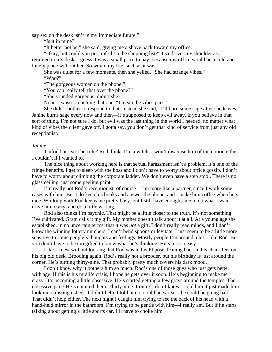say sex on the desk isn't in my immediate future."

"Is it in mine?"

"It better not be," she said, giving me a shove back toward my office.

 "Okay, but could you put tinfoil on the shopping list?" I said over my shoulder as I returned to my desk. I guess it was a small price to pay, because my office would be a cold and lonely place without her. So would my life, such as it was.

She was quiet for a few moments, then she yelled, "She had strange vibes."

"Who?"

"The gorgeous woman on the phone."

"You can really tell that over the phone?"

"She sounded gorgeous, didn't she?"

Nope—wasn't touching that one. "I mean the vibes part."

 She didn't bother to respond to that. Instead she said, "I'll burn some sage after she leaves." Janine burns sage every now and then—it's supposed to keep evil away, if you believe in that sort of thing. I'm not sure I do, but evil was the last thing in the world I needed, no matter what kind of vibes the client gave off. I gotta say, you don't get that kind of service from just any old receptionist.

#### *Janine*

Tinfoil hat. Isn't he cute? Rod thinks I'm a witch. I won't disabuse him of the notion either. I couldn't if I wanted to.

 The nice thing about working here is that sexual harassment isn't a problem, it's one of the fringe benefits. I get to sleep with the boss and I don't have to worry about office gossip. I don't have to worry about climbing the corporate ladder. We don't even have a step stool. There is no glass ceiling, just some peeling paint.

 I'm really not Rod's receptionist, of course—I'm more like a partner, since I work some cases with him. But I do keep his books and answer the phone, and I make him coffee when he's nice. Working with Rod keeps me pretty busy, but I still have enough time to do what I want drive him crazy, and do a little writing.

 Rod also thinks I'm psychic. That might be a little closer to the truth. It's not something I've cultivated. Gram calls it my gift. My mother doesn't talk about it at all. At a young age she established, in no uncertain terms, that it was *not* a gift. I don't really read minds, and I don't know the winning lottery numbers. I can't bend spoons or levitate. I just seem to be a little more sensitive to some people's thoughts and feelings. Mostly people I'm around a lot—like Rod. But you don't have to be too gifted to know what he's thinking. He's just so easy.

Like I knew without looking that Rod was in his PI pose, leaning back in his chair, feet on his big old desk. Brooding again. Rod's really not a brooder, but his birthday is just around the corner. He's turning thirty-nine. That probably pretty much covers his dark mood.

 I don't know why it bothers him so much. Rod's one of those guys who just gets better with age. If this is his midlife crisis, I hope he gets over it soon. He's beginning to make me crazy. It's becoming a little obsessive. He's started getting a few grays around the temples. The obsessive part? He's counted them. Thirty-nine. Ironic? I don't know. I told him it just made him look more distinguished. It didn't help. I told him it could be worse—he could be going bald. That didn't help either. The next night I caught him trying to see the back of his head with a hand-held mirror in the bathroom. I'm trying to be gentle with him—I really am. But if he starts talking about getting a little sports car, I'll have to choke him.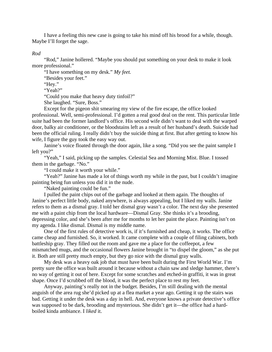I have a feeling this new case is going to take his mind off his brood for a while, though. Maybe I'll forget the sage.

*Rod* 

"Rod," Janine hollered. "Maybe you should put something on your desk to make it look more professional."

"I have something on my desk." *My feet.* 

"Besides your feet."

"Hey."

"Yeah?"

"Could you make that heavy duty tinfoil?"

She laughed. "Sure, Boss."

 Except for the pigeon shit smearing my view of the fire escape, the office looked professional. Well, semi-professional. I'd gotten a real good deal on the rent. This particular little suite had been the former landlord's office. His second wife didn't want to deal with the warped door, balky air conditioner, or the bloodstains left as a result of her husband's death. Suicide had been the official ruling. I really didn't buy the suicide thing at first. But after getting to know his wife, I figure the guy took the easy way out.

 Janine's voice floated through the door again, like a song. "Did you see the paint sample I left you?"

 "Yeah," I said, picking up the samples. Celestial Sea and Morning Mist. Blue. I tossed them in the garbage. "No."

"I could make it worth your while."

 "Yeah?" Janine has made a lot of things worth my while in the past, but I couldn't imagine painting being fun unless you did it in the nude.

"Naked painting could be fun."

 I pulled the paint chips out of the garbage and looked at them again. The thoughts of Janine's perfect little body, naked anywhere, is always appealing, but I liked my walls. Janine refers to them as a dismal gray. I told her dismal gray wasn't a color. The next day she presented me with a paint chip from the local hardware—Dismal Gray. She thinks it's a brooding, depressing color, and she's been after me for months to let her paint the place. Painting isn't on my agenda. I like dismal. Dismal is my middle name.

 One of the first rules of detective work is, if it's furnished and cheap, it works. The office came cheap and furnished. So, it worked. It came complete with a couple of filing cabinets, both battleship gray. They filled out the room and gave me a place for the coffeepot, a few mismatched mugs, and the occasional flowers Janine brought in "to dispel the gloom," as she put it. Both are still pretty much empty, but they go nice with the dismal gray walls.

 My desk was a heavy oak job that must have been built during the First World War. I'm pretty sure the office was built around it because without a chain saw and sledge hammer, there's no way of getting it out of here. Except for some scratches and etched-in graffiti, it was in great shape. Once I'd scrubbed off the blood, it was the perfect place to rest my feet.

 Anyway, painting's really not in the budget. Besides, I'm still dealing with the mental anguish of the area rug she'd picked up at a flea market a year ago. Getting it up the stairs was bad. Getting it under the desk was a day in hell. And, everyone knows a private detective's office was supposed to be dark, brooding and mysterious. She didn't get it—the office had a hardboiled kinda ambiance. I *liked* it.